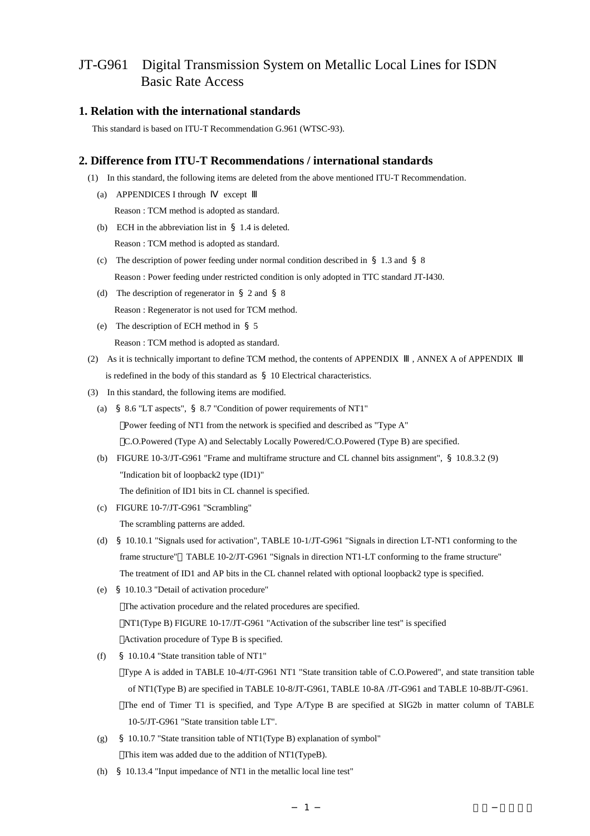# JT-G961 Digital Transmission System on Metallic Local Lines for ISDN Basic Rate Access

#### **1. Relation with the international standards**

This standard is based on ITU-T Recommendation G.961 (WTSC-93).

### **2. Difference from ITU-T Recommendations / international standards**

- (1) In this standard, the following items are deleted from the above mentioned ITU-T Recommendation.
	- (a) APPENDICES I through except Reason : TCM method is adopted as standard.
	- (b) ECH in the abbreviation list in §1.4 is deleted. Reason : TCM method is adopted as standard.
	- (c) The description of power feeding under normal condition described in  $\S$  1.3 and  $\S$  8 Reason : Power feeding under restricted condition is only adopted in TTC standard JT-I430.
	- (d) The description of regenerator in §2 and §8 Reason : Regenerator is not used for TCM method.
	- (e) The description of ECH method in §5 Reason : TCM method is adopted as standard.
- (2) As it is technically important to define TCM method, the contents of APPENDIX , ANNEX A of APPENDIX is redefined in the body of this standard as §10 Electrical characteristics.
- (3) In this standard, the following items are modified.
	- (a) §8.6 "LT aspects", §8.7 "Condition of power requirements of NT1" Power feeding of NT1 from the network is specified and described as "Type A" C.O.Powered (Type A) and Selectably Locally Powered/C.O.Powered (Type B) are specified.
	- (b) FIGURE 10-3/JT-G961 "Frame and multiframe structure and CL channel bits assignment", §10.8.3.2 (9) "Indication bit of loopback2 type (ID1)" The definition of ID1 bits in CL channel is specified.
	- (c) FIGURE 10-7/JT-G961 "Scrambling"

The scrambling patterns are added.

- (d) §10.10.1 "Signals used for activation", TABLE 10-1/JT-G961 "Signals in direction LT-NT1 conforming to the frame structure" TABLE 10-2/JT-G961 "Signals in direction NT1-LT conforming to the frame structure" The treatment of ID1 and AP bits in the CL channel related with optional loopback2 type is specified.
- (e) §10.10.3 "Detail of activation procedure" The activation procedure and the related procedures are specified. NT1(Type B) FIGURE 10-17/JT-G961 "Activation of the subscriber line test" is specified Activation procedure of Type B is specified.
- (f) §10.10.4 "State transition table of NT1"

Type A is added in TABLE 10-4/JT-G961 NT1 "State transition table of C.O.Powered", and state transition table of NT1(Type B) are specified in TABLE 10-8/JT-G961, TABLE 10-8A /JT-G961 and TABLE 10-8B/JT-G961. The end of Timer T1 is specified, and Type A/Type B are specified at SIG2b in matter column of TABLE 10-5/JT-G961 "State transition table LT".

- (g) §10.10.7 "State transition table of NT1(Type B) explanation of symbol" This item was added due to the addition of NT1(TypeB).
- (h) §10.13.4 "Input impedance of NT1 in the metallic local line test"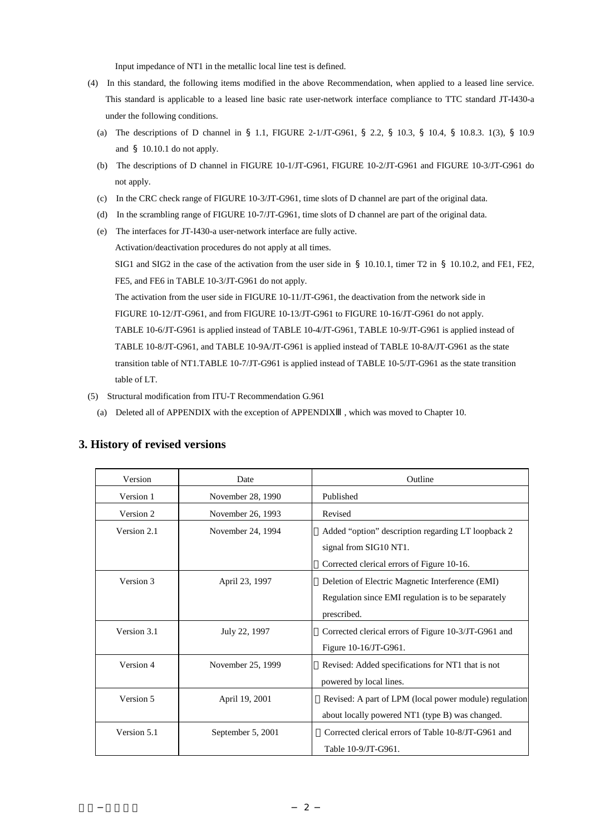Input impedance of NT1 in the metallic local line test is defined.

- (4) In this standard, the following items modified in the above Recommendation, when applied to a leased line service. This standard is applicable to a leased line basic rate user-network interface compliance to TTC standard JT-I430-a under the following conditions.
	- (a) The descriptions of D channel in §1.1, FIGURE 2-1/JT-G961, §2.2, §10.3, §10.4, §10.8.3. 1(3), §10.9 and §10.10.1 do not apply.
	- (b) The descriptions of D channel in FIGURE 10-1/JT-G961, FIGURE 10-2/JT-G961 and FIGURE 10-3/JT-G961 do not apply.
	- (c) In the CRC check range of FIGURE 10-3/JT-G961, time slots of D channel are part of the original data.
	- (d) In the scrambling range of FIGURE 10-7/JT-G961, time slots of D channel are part of the original data.
	- (e) The interfaces for JT-I430-a user-network interface are fully active.

Activation/deactivation procedures do not apply at all times.

SIG1 and SIG2 in the case of the activation from the user side in § 10.10.1, timer T2 in § 10.10.2, and FE1, FE2, FE5, and FE6 in TABLE 10-3/JT-G961 do not apply.

 The activation from the user side in FIGURE 10-11/JT-G961, the deactivation from the network side in FIGURE 10-12/JT-G961, and from FIGURE 10-13/JT-G961 to FIGURE 10-16/JT-G961 do not apply. TABLE 10-6/JT-G961 is applied instead of TABLE 10-4/JT-G961, TABLE 10-9/JT-G961 is applied instead of TABLE 10-8/JT-G961, and TABLE 10-9A/JT-G961 is applied instead of TABLE 10-8A/JT-G961 as the state transition table of NT1.TABLE 10-7/JT-G961 is applied instead of TABLE 10-5/JT-G961 as the state transition table of LT.

- (5) Structural modification from ITU-T Recommendation G.961
	- (a) Deleted all of APPENDIX with the exception of APPENDIX , which was moved to Chapter 10.

| Version     | Date              | Outline                                                |
|-------------|-------------------|--------------------------------------------------------|
| Version 1   | November 28, 1990 | Published                                              |
| Version 2   | November 26, 1993 | Revised                                                |
| Version 2.1 | November 24, 1994 | Added "option" description regarding LT loopback 2     |
|             |                   | signal from SIG10 NT1.                                 |
|             |                   | Corrected clerical errors of Figure 10-16.             |
| Version 3   | April 23, 1997    | Deletion of Electric Magnetic Interference (EMI)       |
|             |                   | Regulation since EMI regulation is to be separately    |
|             |                   | prescribed.                                            |
| Version 3.1 | July 22, 1997     | Corrected clerical errors of Figure 10-3/JT-G961 and   |
|             |                   | Figure 10-16/JT-G961.                                  |
| Version 4   | November 25, 1999 | Revised: Added specifications for NT1 that is not      |
|             |                   | powered by local lines.                                |
| Version 5   | April 19, 2001    | Revised: A part of LPM (local power module) regulation |
|             |                   | about locally powered NT1 (type B) was changed.        |
| Version 5.1 | September 5, 2001 | Corrected clerical errors of Table 10-8/JT-G961 and    |
|             |                   | Table 10-9/JT-G961.                                    |

#### **3. History of revised versions**